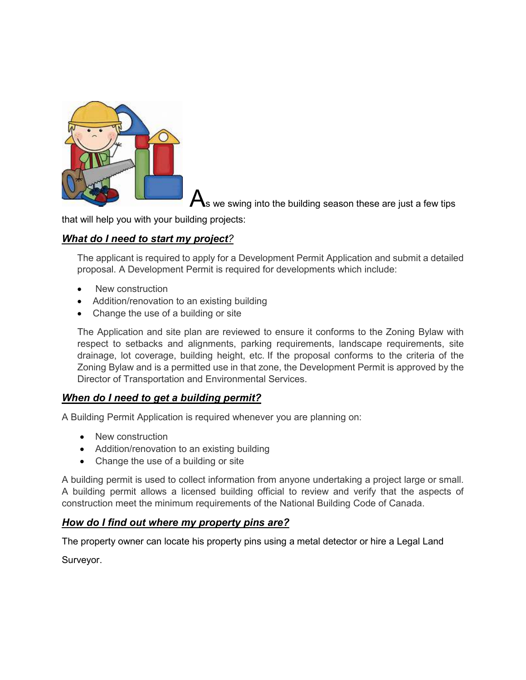

as we swing into the building season these are just a few tips

that will help you with your building projects:

## *What do I need to start my project?*

The applicant is required to apply for a Development Permit Application and submit a detailed proposal. A Development Permit is required for developments which include:

- New construction
- Addition/renovation to an existing building
- Change the use of a building or site

The Application and site plan are reviewed to ensure it conforms to the Zoning Bylaw with respect to setbacks and alignments, parking requirements, landscape requirements, site drainage, lot coverage, building height, etc. If the proposal conforms to the criteria of the Zoning Bylaw and is a permitted use in that zone, the Development Permit is approved by the Director of Transportation and Environmental Services.

### *When do I need to get a building permit?*

A Building Permit Application is required whenever you are planning on:

- New construction
- Addition/renovation to an existing building
- Change the use of a building or site

A building permit is used to collect information from anyone undertaking a project large or small. A building permit allows a licensed building official to review and verify that the aspects of construction meet the minimum requirements of the National Building Code of Canada.

### *How do I find out where my property pins are?*

The property owner can locate his property pins using a metal detector or hire a Legal Land

Surveyor.